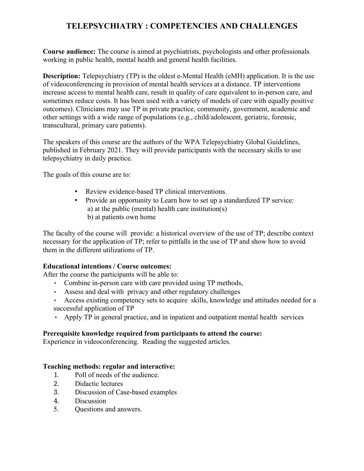# **TELEPSYCHIATRY : COMPETENCIES AND CHALLENGES**

**Course audience:** The course is aimed at psychiatrists, psychologists and other professionals working in public health, mental health and general health facilities.

**Description:** Telepsychiatry (TP) is the oldest e-Mental Health (eMH) application. It is the use of videoconferencing in provision of mental health services at a distance. TP interventions increase access to mental health care, result in quality of care equivalent to in-person care, and sometimes reduce costs. It has been used with a variety of models of care with equally positive outcomes). Clinicians may use TP in private practice, community, government, academic and other settings with a wide range of populations (e.g., child/adolescent, geriatric, forensic, transcultural, primary care patients).

The speakers of this course are the authors of the WPA Telepsychiatry Global Guidelines, published in February 2021. They will provide participants with the necessary skills to use telepsychiatry in daily practice.

The goals of this course are to:

- Review evidence-based TP clinical interventions.
- Provide an opportunity to Learn how to set up a standardized TP service: a) at the public (mental) health care institution(s) b) at patients own home

The faculty of the course will provide: a historical overview of the use of TP; describe context necessary for the application of TP; refer to pittfalls in the use of TP and show how to avoid them in the different utilizations of TP.

### **Educational intentions / Course outcomes:**

After the course the participants will be able to:

- Combine in-person care with care provided using TP methods,
- Assess and deal with privacy and other regulatory challenges
- Access existing competency sets to acquire skills, knowledge and attitudes needed for a successful application of TP
- Apply TP in general practice, and in inpatient and outpatient mental health services

### **Prerequisite knowledge required from participants to attend the course:**

Experience in videoconferencing. Reading the suggested articles.

### **Teaching methods: regular and interactive:**

- 1. Poll of needs of the audience.
- 2. Didactic lectures
- 3. Discussion of Case-based examples
- 4. Discussion
- 5. Questions and answers.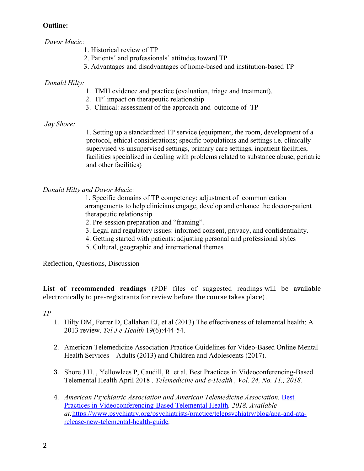### **Outline:**

*Davor Mucic:*

- 1. Historical review of TP
- 2. Patients´ and professionals` attitudes toward TP
- 3. Advantages and disadvantages of home-based and institution-based TP

### *Donald Hilty:*

- 1. TMH evidence and practice (evaluation, triage and treatment).
- 2. TP´ impact on therapeutic relationship
- 3. Clinical: assessment of the approach and outcome of TP

### *Jay Shore:*

 1. Setting up a standardized TP service (equipment, the room, development of a protocol, ethical considerations; specific populations and settings i.e. clinically supervised vs unsupervised settings, primary care settings, inpatient facilities, facilities specialized in dealing with problems related to substance abuse, geriatric and other facilities)

## *Donald Hilty and Davor Mucic:*

 1. Specific domains of TP competency: adjustment of communication arrangements to help clinicians engage, develop and enhance the doctor-patient therapeutic relationship

2. Pre-session preparation and "framing".

- 3. Legal and regulatory issues: informed consent, privacy, and confidentiality.
- 4. Getting started with patients: adjusting personal and professional styles
- 5. Cultural, geographic and international themes

Reflection, Questions, Discussion

**List of recommended readings (**PDF files of suggested readings will be available electronically to pre-registrants for review before the course takes place).

*TP*

- 1. Hilty DM, Ferrer D, Callahan EJ, et al (2013) The effectiveness of telemental health: A 2013 review. *Tel J e-Health* 19(6):444-54.
- 2. American Telemedicine Association Practice Guidelines for Video-Based Online Mental Health Services – Adults (2013) and Children and Adolescents (2017).
- 3. Shore J.H. , Yellowlees P, Caudill, R. et al. Best Practices in Videoconferencing-Based Telemental Health April 2018 . *Telemedicine and e-Health , Vol. 24, No. 11., 2018.*
- 4. *American Psychiatric Association and American Telemedicine Association.* [Best](https://www.psychiatry.org/File%20Library/Psychiatrists/Practice/Telepsychiatry/APA-ATA-Best-Practices-in-Videoconferencing-Based-Telemental-Health.pdf)   [Practices in Videoconferencing-Based Telemental Health](https://www.psychiatry.org/File%20Library/Psychiatrists/Practice/Telepsychiatry/APA-ATA-Best-Practices-in-Videoconferencing-Based-Telemental-Health.pdf)*, 2018. Available at:* [https://www.psychiatry.org/psychiatrists/practice/telepsychiatry/blog/apa-and-ata](https://www.psychiatry.org/psychiatrists/practice/telepsychiatry/blog/apa-and-ata-release-new-telemental-health-guide)  [release-new-telemental-health-guide](https://www.psychiatry.org/psychiatrists/practice/telepsychiatry/blog/apa-and-ata-release-new-telemental-health-guide)*.*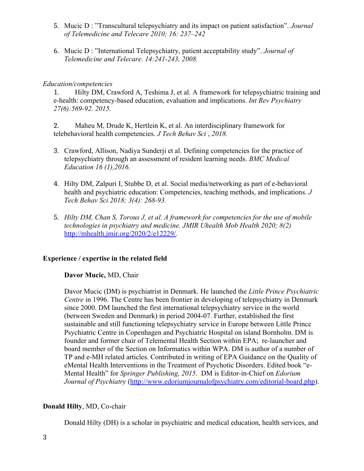- 5. Mucic D : "Transcultural telepsychiatry and its impact on patient satisfaction". *Journal of Telemedicine and Telecare 2010; 16: 237–242*
- 6. Mucic D : "International Telepsychiatry, patient acceptability study". *Journal of Telemedicine and Telecare. 14:241-243, 2008.*

### *Education/competencies*

1. Hilty DM, Crawford A, Teshima J, et al. A framework for telepsychiatric training and e-health: competency-based education, evaluation and implications. *Int Rev Psychiatry 27(6):569-92. 2015.*

2. Maheu M, Drude K, Hertlein K, et al. An interdisciplinary framework for telebehavioral health competencies. *J Tech Behav Sci* , *2018.*

- 3. Crawford, Allison, Nadiya Sunderji et al. Defining competencies for the practice of telepsychiatry through an assessment of resident learning needs. *BMC Medical Education 16 (1),2016.*
- 4. Hilty DM, Zalpuri I, Stubbe D, et al. Social media/networking as part of e-behavioral health and psychiatric education: Competencies, teaching methods, and implications. *J Tech Behav Sci 2018; 3(4): 268-93.*
- 5. *Hilty DM, Chan S, Torous J, et al. A framework for competencies for the use of mobile technologies in psychiatry and medicine. JMIR Uhealth Mob Health 2020; 8(2)*  <http://mhealth.jmir.org/2020/2/e12229/>*.*

### **Experience / expertise in the related field**

#### **Davor Mucic,** MD, Chair

Davor Mucic (DM) is psychiatrist in Denmark. He launched the *Little Prince Psychiatric Centre* in 1996. The Centre has been frontier in developing of telepsychiatry in Denmark since 2000. DM launched the first international telepsychiatry service in the world (between Sweden and Denmark) in period 2004-07. Further, established the first sustainable and still functioning telepsychiatry service in Europe between Little Prince Psychiatric Centre in Copenhagen and Psychiatric Hospital on island Bornholm. DM is founder and former chair of Telemental Health Section within EPA; re-launcher and board member of the Section on Informatics within WPA. DM is author of a number of TP and e-MH related articles. Contributed in writing of EPA Guidance on the Quality of eMental Health Interventions in the Treatment of Psychotic Disorders. Edited book "e-Mental Health" for *Springer Publishing, 2015.* DM is Editor-in-Chief on *Edorium Journal of Psychiatry* [\(http://www.edoriumjournalofpsychiatry.com/editorial-board.php\)](http://www.edoriumjournalofpsychiatry.com/editorial-board.php).

### **Donald Hilty**, MD, Co-chair

Donald Hilty (DH) is a scholar in psychiatric and medical education, health services, and